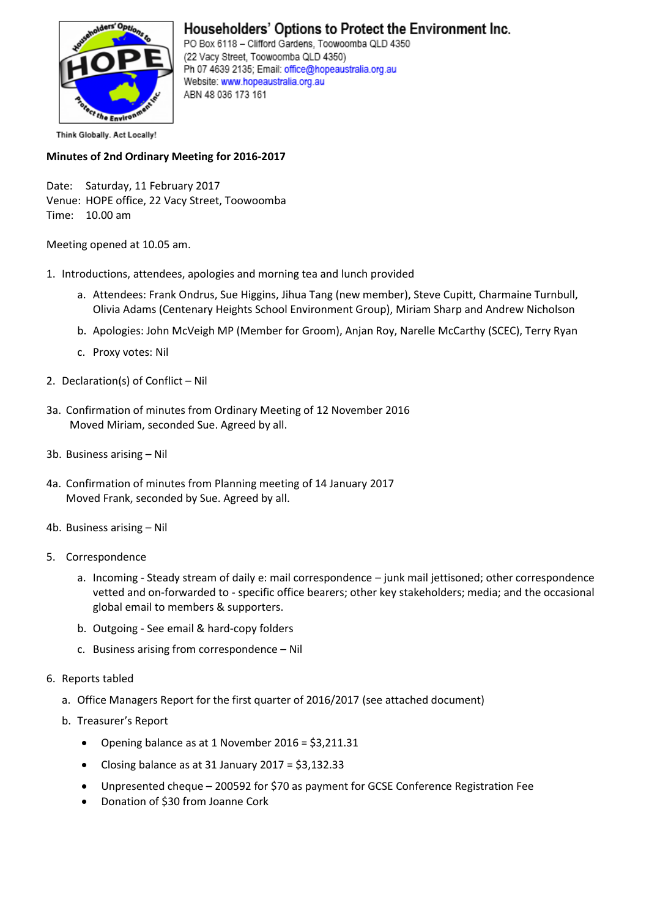

## Householders' Options to Protect the Environment Inc.

PO Box 6118 - Clifford Gardens, Toowoomba QLD 4350 (22 Vacy Street, Toowoomba QLD 4350) Ph 07 4639 2135; Email: office@hopeaustralia.org.au Website: www.hopeaustralia.org.au ABN 48 036 173 161

Think Globally. Act Locally!

## **Minutes of 2nd Ordinary Meeting for 2016-2017**

Date: Saturday, 11 February 2017 Venue: HOPE office, 22 Vacy Street, Toowoomba Time: 10.00 am

Meeting opened at 10.05 am.

- 1. Introductions, attendees, apologies and morning tea and lunch provided
	- a. Attendees: Frank Ondrus, Sue Higgins, Jihua Tang (new member), Steve Cupitt, Charmaine Turnbull, Olivia Adams (Centenary Heights School Environment Group), Miriam Sharp and Andrew Nicholson
	- b. Apologies: John McVeigh MP (Member for Groom), Anjan Roy, Narelle McCarthy (SCEC), Terry Ryan
	- c. Proxy votes: Nil
- 2. Declaration(s) of Conflict Nil
- 3a. Confirmation of minutes from Ordinary Meeting of 12 November 2016 Moved Miriam, seconded Sue. Agreed by all.
- 3b. Business arising Nil
- 4a. Confirmation of minutes from Planning meeting of 14 January 2017 Moved Frank, seconded by Sue. Agreed by all.
- 4b. Business arising Nil
- 5. Correspondence
	- a. Incoming Steady stream of daily e: mail correspondence junk mail jettisoned; other correspondence vetted and on-forwarded to - specific office bearers; other key stakeholders; media; and the occasional global email to members & supporters.
	- b. Outgoing See email & hard-copy folders
	- c. Business arising from correspondence Nil
- 6. Reports tabled
	- a. Office Managers Report for the first quarter of 2016/2017 (see attached document)
	- b. Treasurer's Report
		- Opening balance as at 1 November 2016 = \$3,211.31
		- Closing balance as at 31 January 2017 =  $$3,132.33$
		- Unpresented cheque 200592 for \$70 as payment for GCSE Conference Registration Fee
		- Donation of \$30 from Joanne Cork